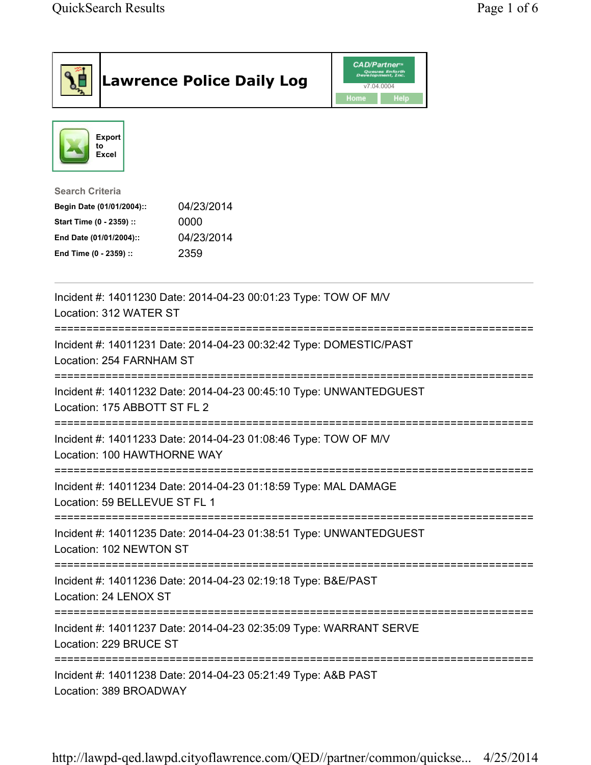|                                                                                                                                      | <b>Lawrence Police Daily Log</b>                                   | <b>CAD/Partner</b> <sup>*</sup><br>Queues Enforth<br>Development, Inc.<br>v7.04.0004<br>Home<br><b>Help</b> |  |
|--------------------------------------------------------------------------------------------------------------------------------------|--------------------------------------------------------------------|-------------------------------------------------------------------------------------------------------------|--|
| <b>Export</b><br>to<br>Excel                                                                                                         |                                                                    |                                                                                                             |  |
| <b>Search Criteria</b><br>Begin Date (01/01/2004)::<br>Start Time (0 - 2359) ::<br>End Date (01/01/2004)::<br>End Time (0 - 2359) :: | 04/23/2014<br>0000<br>04/23/2014<br>2359                           |                                                                                                             |  |
| Location: 312 WATER ST                                                                                                               | Incident #: 14011230 Date: 2014-04-23 00:01:23 Type: TOW OF M/V    |                                                                                                             |  |
| Location: 254 FARNHAM ST                                                                                                             | Incident #: 14011231 Date: 2014-04-23 00:32:42 Type: DOMESTIC/PAST |                                                                                                             |  |
| Location: 175 ABBOTT ST FL 2                                                                                                         | Incident #: 14011232 Date: 2014-04-23 00:45:10 Type: UNWANTEDGUEST |                                                                                                             |  |
| Location: 100 HAWTHORNE WAY                                                                                                          | Incident #: 14011233 Date: 2014-04-23 01:08:46 Type: TOW OF M/V    |                                                                                                             |  |
| Location: 59 BELLEVUE ST FL 1                                                                                                        | Incident #: 14011234 Date: 2014-04-23 01:18:59 Type: MAL DAMAGE    |                                                                                                             |  |
| Location: 102 NEWTON ST                                                                                                              | Incident #: 14011235 Date: 2014-04-23 01:38:51 Type: UNWANTEDGUEST |                                                                                                             |  |
| Location: 24 LENOX ST                                                                                                                | Incident #: 14011236 Date: 2014-04-23 02:19:18 Type: B&E/PAST      |                                                                                                             |  |
| Location: 229 BRUCE ST                                                                                                               | Incident #: 14011237 Date: 2014-04-23 02:35:09 Type: WARRANT SERVE |                                                                                                             |  |
| Location: 389 BROADWAY                                                                                                               | Incident #: 14011238 Date: 2014-04-23 05:21:49 Type: A&B PAST      |                                                                                                             |  |

http://lawpd-qed.lawpd.cityoflawrence.com/QED//partner/common/quickse... 4/25/2014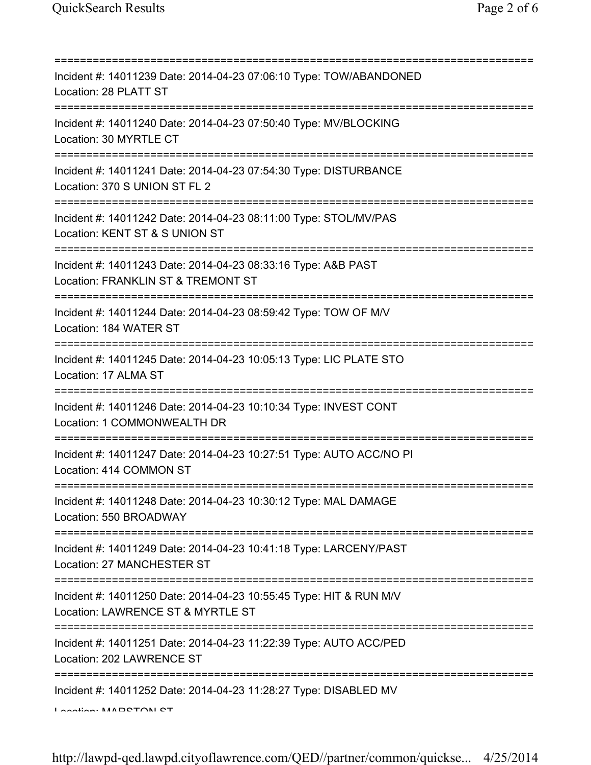| Incident #: 14011239 Date: 2014-04-23 07:06:10 Type: TOW/ABANDONED<br>Location: 28 PLATT ST                                    |
|--------------------------------------------------------------------------------------------------------------------------------|
| Incident #: 14011240 Date: 2014-04-23 07:50:40 Type: MV/BLOCKING<br>Location: 30 MYRTLE CT                                     |
| Incident #: 14011241 Date: 2014-04-23 07:54:30 Type: DISTURBANCE<br>Location: 370 S UNION ST FL 2                              |
| Incident #: 14011242 Date: 2014-04-23 08:11:00 Type: STOL/MV/PAS<br>Location: KENT ST & S UNION ST                             |
| Incident #: 14011243 Date: 2014-04-23 08:33:16 Type: A&B PAST<br>Location: FRANKLIN ST & TREMONT ST                            |
| Incident #: 14011244 Date: 2014-04-23 08:59:42 Type: TOW OF M/V<br>Location: 184 WATER ST                                      |
| Incident #: 14011245 Date: 2014-04-23 10:05:13 Type: LIC PLATE STO<br>Location: 17 ALMA ST<br>;=============================== |
| Incident #: 14011246 Date: 2014-04-23 10:10:34 Type: INVEST CONT<br>Location: 1 COMMONWEALTH DR<br>==================          |
| Incident #: 14011247 Date: 2014-04-23 10:27:51 Type: AUTO ACC/NO PI<br>Location: 414 COMMON ST                                 |
| Incident #: 14011248 Date: 2014-04-23 10:30:12 Type: MAL DAMAGE<br>Location: 550 BROADWAY                                      |
| Incident #: 14011249 Date: 2014-04-23 10:41:18 Type: LARCENY/PAST<br>Location: 27 MANCHESTER ST                                |
| Incident #: 14011250 Date: 2014-04-23 10:55:45 Type: HIT & RUN M/V<br>Location: LAWRENCE ST & MYRTLE ST                        |
| Incident #: 14011251 Date: 2014-04-23 11:22:39 Type: AUTO ACC/PED<br>Location: 202 LAWRENCE ST                                 |
| Incident #: 14011252 Date: 2014-04-23 11:28:27 Type: DISABLED MV<br>Lootion MADOTONI OT                                        |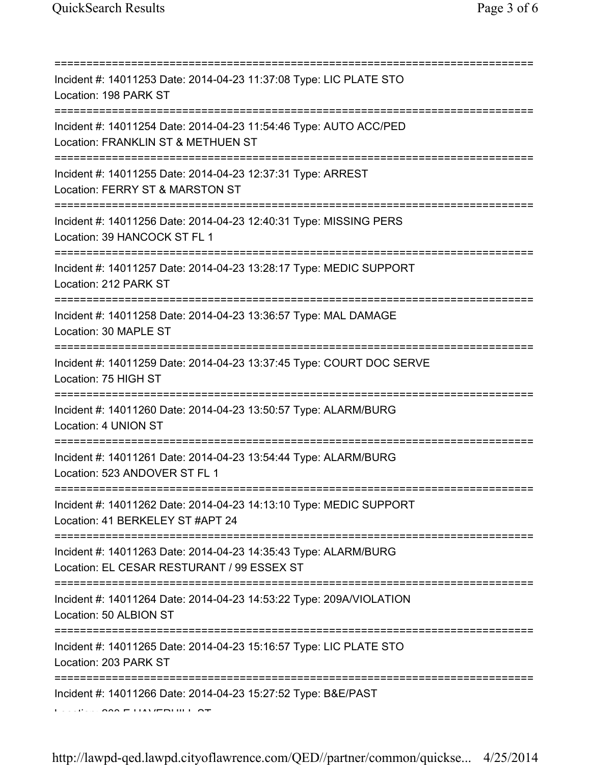| Incident #: 14011253 Date: 2014-04-23 11:37:08 Type: LIC PLATE STO<br>Location: 198 PARK ST                                                                       |
|-------------------------------------------------------------------------------------------------------------------------------------------------------------------|
| Incident #: 14011254 Date: 2014-04-23 11:54:46 Type: AUTO ACC/PED<br>Location: FRANKLIN ST & METHUEN ST<br>===============================                        |
| Incident #: 14011255 Date: 2014-04-23 12:37:31 Type: ARREST<br>Location: FERRY ST & MARSTON ST<br>==========================                                      |
| Incident #: 14011256 Date: 2014-04-23 12:40:31 Type: MISSING PERS<br>Location: 39 HANCOCK ST FL 1                                                                 |
| Incident #: 14011257 Date: 2014-04-23 13:28:17 Type: MEDIC SUPPORT<br>Location: 212 PARK ST                                                                       |
| =================================<br>Incident #: 14011258 Date: 2014-04-23 13:36:57 Type: MAL DAMAGE<br>Location: 30 MAPLE ST<br>================================ |
| Incident #: 14011259 Date: 2014-04-23 13:37:45 Type: COURT DOC SERVE<br>Location: 75 HIGH ST                                                                      |
| Incident #: 14011260 Date: 2014-04-23 13:50:57 Type: ALARM/BURG<br>Location: 4 UNION ST                                                                           |
| Incident #: 14011261 Date: 2014-04-23 13:54:44 Type: ALARM/BURG<br>Location: 523 ANDOVER ST FL 1                                                                  |
| Incident #: 14011262 Date: 2014-04-23 14:13:10 Type: MEDIC SUPPORT<br>Location: 41 BERKELEY ST #APT 24                                                            |
| Incident #: 14011263 Date: 2014-04-23 14:35:43 Type: ALARM/BURG<br>Location: EL CESAR RESTURANT / 99 ESSEX ST                                                     |
| Incident #: 14011264 Date: 2014-04-23 14:53:22 Type: 209A/VIOLATION<br>Location: 50 ALBION ST                                                                     |
| Incident #: 14011265 Date: 2014-04-23 15:16:57 Type: LIC PLATE STO<br>Location: 203 PARK ST                                                                       |
| Incident #: 14011266 Date: 2014-04-23 15:27:52 Type: B&E/PAST                                                                                                     |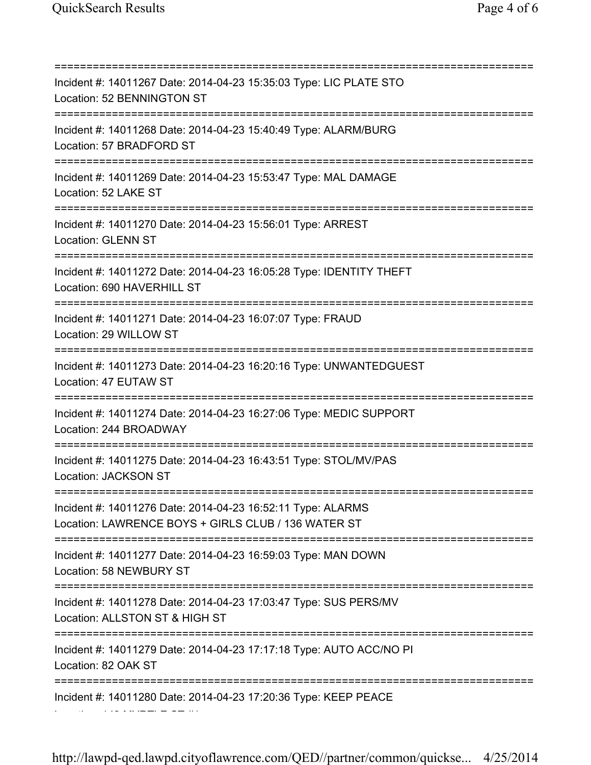=========================================================================== Incident #: 14011267 Date: 2014-04-23 15:35:03 Type: LIC PLATE STO Location: 52 BENNINGTON ST =========================================================================== Incident #: 14011268 Date: 2014-04-23 15:40:49 Type: ALARM/BURG Location: 57 BRADFORD ST =========================================================================== Incident #: 14011269 Date: 2014-04-23 15:53:47 Type: MAL DAMAGE Location: 52 LAKE ST =========================================================================== Incident #: 14011270 Date: 2014-04-23 15:56:01 Type: ARREST Location: GLENN ST =========================================================================== Incident #: 14011272 Date: 2014-04-23 16:05:28 Type: IDENTITY THEFT Location: 690 HAVERHILL ST =========================================================================== Incident #: 14011271 Date: 2014-04-23 16:07:07 Type: FRAUD Location: 29 WILLOW ST =========================================================================== Incident #: 14011273 Date: 2014-04-23 16:20:16 Type: UNWANTEDGUEST Location: 47 EUTAW ST =========================================================================== Incident #: 14011274 Date: 2014-04-23 16:27:06 Type: MEDIC SUPPORT Location: 244 BROADWAY =========================================================================== Incident #: 14011275 Date: 2014-04-23 16:43:51 Type: STOL/MV/PAS Location: JACKSON ST =========================================================================== Incident #: 14011276 Date: 2014-04-23 16:52:11 Type: ALARMS Location: LAWRENCE BOYS + GIRLS CLUB / 136 WATER ST =========================================================================== Incident #: 14011277 Date: 2014-04-23 16:59:03 Type: MAN DOWN Location: 58 NEWBURY ST =========================================================================== Incident #: 14011278 Date: 2014-04-23 17:03:47 Type: SUS PERS/MV Location: ALLSTON ST & HIGH ST =========================================================================== Incident #: 14011279 Date: 2014-04-23 17:17:18 Type: AUTO ACC/NO PI Location: 82 OAK ST =========================================================================== Incident #: 14011280 Date: 2014-04-23 17:20:36 Type: KEEP PEACE Location: 149 MYRTLE ST #1

http://lawpd-qed.lawpd.cityoflawrence.com/QED//partner/common/quickse... 4/25/2014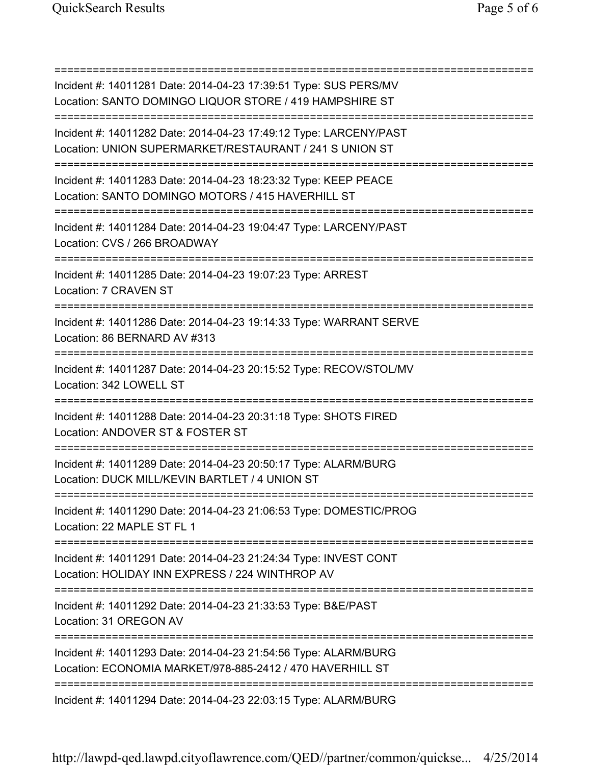| Incident #: 14011281 Date: 2014-04-23 17:39:51 Type: SUS PERS/MV<br>Location: SANTO DOMINGO LIQUOR STORE / 419 HAMPSHIRE ST       |
|-----------------------------------------------------------------------------------------------------------------------------------|
| Incident #: 14011282 Date: 2014-04-23 17:49:12 Type: LARCENY/PAST<br>Location: UNION SUPERMARKET/RESTAURANT / 241 S UNION ST      |
| Incident #: 14011283 Date: 2014-04-23 18:23:32 Type: KEEP PEACE<br>Location: SANTO DOMINGO MOTORS / 415 HAVERHILL ST              |
| Incident #: 14011284 Date: 2014-04-23 19:04:47 Type: LARCENY/PAST<br>Location: CVS / 266 BROADWAY                                 |
| Incident #: 14011285 Date: 2014-04-23 19:07:23 Type: ARREST<br>Location: 7 CRAVEN ST                                              |
| Incident #: 14011286 Date: 2014-04-23 19:14:33 Type: WARRANT SERVE<br>Location: 86 BERNARD AV #313<br>=========================== |
| Incident #: 14011287 Date: 2014-04-23 20:15:52 Type: RECOV/STOL/MV<br>Location: 342 LOWELL ST                                     |
| Incident #: 14011288 Date: 2014-04-23 20:31:18 Type: SHOTS FIRED<br>Location: ANDOVER ST & FOSTER ST<br>===============           |
| Incident #: 14011289 Date: 2014-04-23 20:50:17 Type: ALARM/BURG<br>Location: DUCK MILL/KEVIN BARTLET / 4 UNION ST                 |
| Incident #: 14011290 Date: 2014-04-23 21:06:53 Type: DOMESTIC/PROG<br>Location: 22 MAPLE ST FL 1                                  |
| Incident #: 14011291 Date: 2014-04-23 21:24:34 Type: INVEST CONT<br>Location: HOLIDAY INN EXPRESS / 224 WINTHROP AV               |
| Incident #: 14011292 Date: 2014-04-23 21:33:53 Type: B&E/PAST<br>Location: 31 OREGON AV                                           |
| Incident #: 14011293 Date: 2014-04-23 21:54:56 Type: ALARM/BURG<br>Location: ECONOMIA MARKET/978-885-2412 / 470 HAVERHILL ST      |
| =====================================<br>Incident #: 14011294 Date: 2014-04-23 22:03:15 Type: ALARM/BURG                          |